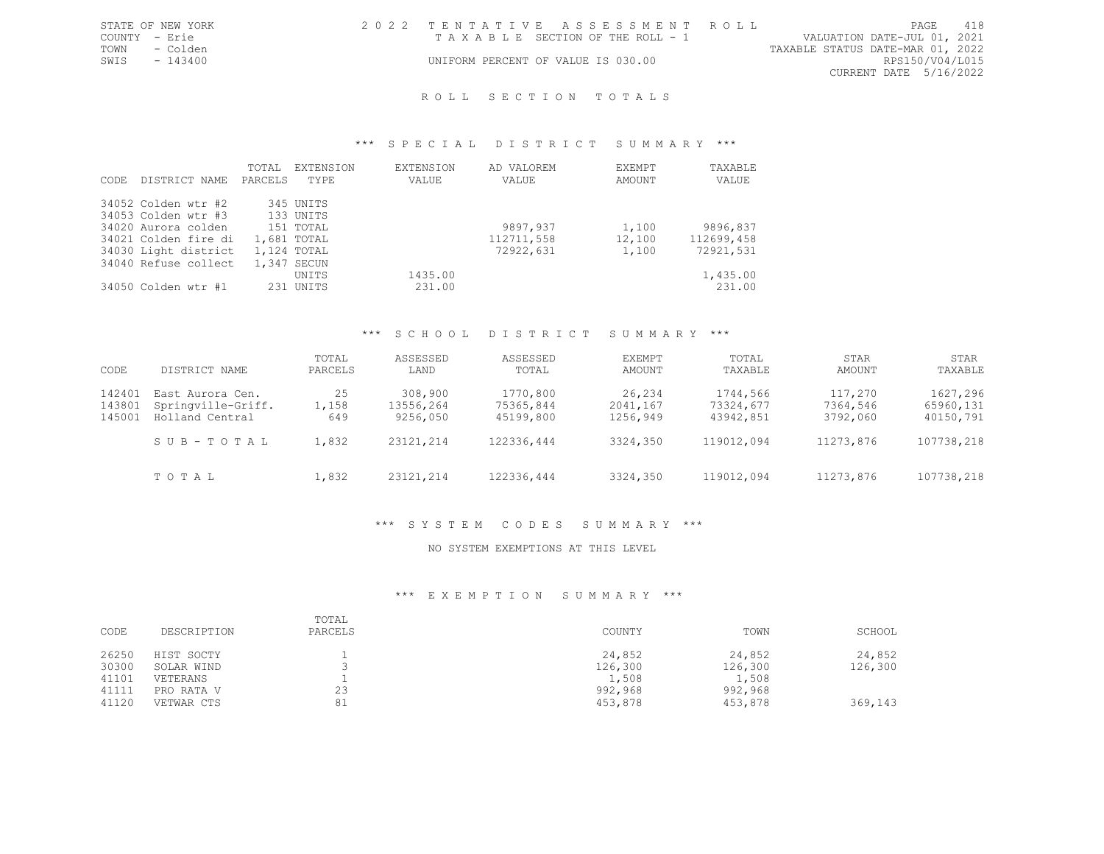|               | STATE OF NEW YORK | 2022 TENTATIVE ASSESSMENT ROLL     |                                  | PAGE | 418 |
|---------------|-------------------|------------------------------------|----------------------------------|------|-----|
| COUNTY - Erie |                   | TAXABLE SECTION OF THE ROLL - 1    | VALUATION DATE-JUL 01, 2021      |      |     |
| TOWN          | - Colden          |                                    | TAXABLE STATUS DATE-MAR 01, 2022 |      |     |
| SWIS          | - 143400          | UNIFORM PERCENT OF VALUE IS 030.00 | RPS150/V04/L015                  |      |     |
|               |                   |                                    | CURRENT DATE 5/16/2022           |      |     |
|               |                   |                                    |                                  |      |     |

## \*\*\* S P E C I A L D I S T R I C T S U M M A R Y \*\*\*

| CODE. | DISTRICT NAME        | TOTAL<br>PARCELS | <b>EXTENSION</b><br>TYPE | <b>EXTENSION</b><br>VALUE | AD VALOREM<br>VALUE | EXEMPT<br>AMOUNT | TAXABLE<br>VALUE |
|-------|----------------------|------------------|--------------------------|---------------------------|---------------------|------------------|------------------|
|       | 34052 Colden wtr #2  |                  | 345 UNITS                |                           |                     |                  |                  |
|       | 34053 Colden wtr #3  |                  | 133 UNITS                |                           |                     |                  |                  |
|       | 34020 Aurora colden  |                  | 151 TOTAL                |                           | 9897,937            | 1,100            | 9896,837         |
|       | 34021 Colden fire di |                  | 1,681 TOTAL              |                           | 112711,558          | 12,100           | 112699,458       |
|       | 34030 Light district |                  | 1,124 TOTAL              |                           | 72922,631           | 1,100            | 72921,531        |
|       | 34040 Refuse collect |                  | 1,347 SECUN              |                           |                     |                  |                  |
|       |                      |                  | UNITS                    | 1435.00                   |                     |                  | 1,435.00         |
|       | 34050 Colden wtr #1  |                  | 231 UNITS                | 231.00                    |                     |                  | 231.00           |

## \*\*\* S C H O O L D I S T R I C T S U M M A R Y \*\*\*

| CODE                       | DISTRICT NAME                                             | TOTAL<br>PARCELS   | ASSESSED<br>LAND                 | ASSESSED<br>TOTAL                  | EXEMPT<br>AMOUNT               | TOTAL<br>TAXABLE                   | STAR<br>AMOUNT                  | STAR<br>TAXABLE                    |
|----------------------------|-----------------------------------------------------------|--------------------|----------------------------------|------------------------------------|--------------------------------|------------------------------------|---------------------------------|------------------------------------|
| 142401<br>143801<br>145001 | East Aurora Cen.<br>Springville-Griff.<br>Holland Central | 25<br>1,158<br>649 | 308,900<br>13556,264<br>9256,050 | 1770,800<br>75365,844<br>45199,800 | 26,234<br>2041,167<br>1256,949 | 1744,566<br>73324,677<br>43942,851 | 117,270<br>7364,546<br>3792,060 | 1627,296<br>65960,131<br>40150,791 |
|                            | SUB-TOTAL                                                 | 1,832              | 23121,214                        | 122336,444                         | 3324,350                       | 119012,094                         | 11273,876                       | 107738,218                         |
|                            | TOTAL                                                     | 1,832              | 23121,214                        | 122336,444                         | 3324,350                       | 119012,094                         | 11273,876                       | 107738,218                         |

## \*\*\* S Y S T E M C O D E S S U M M A R Y \*\*\*

#### NO SYSTEM EXEMPTIONS AT THIS LEVEL

| CODE           | DESCRIPTION              | TOTAL<br>PARCELS | COUNTY            | TOWN              | SCHOOL            |
|----------------|--------------------------|------------------|-------------------|-------------------|-------------------|
| 26250<br>30300 | HIST SOCTY<br>SOLAR WIND |                  | 24,852<br>126,300 | 24,852<br>126,300 | 24,852<br>126,300 |
| 41101          | VETERANS                 |                  | 1,508             | 1,508             |                   |
| 41111          | PRO RATA V               | 23               | 992,968           | 992,968           |                   |
| 41120          | VETWAR CTS               | 81               | 453,878           | 453,878           | 369,143           |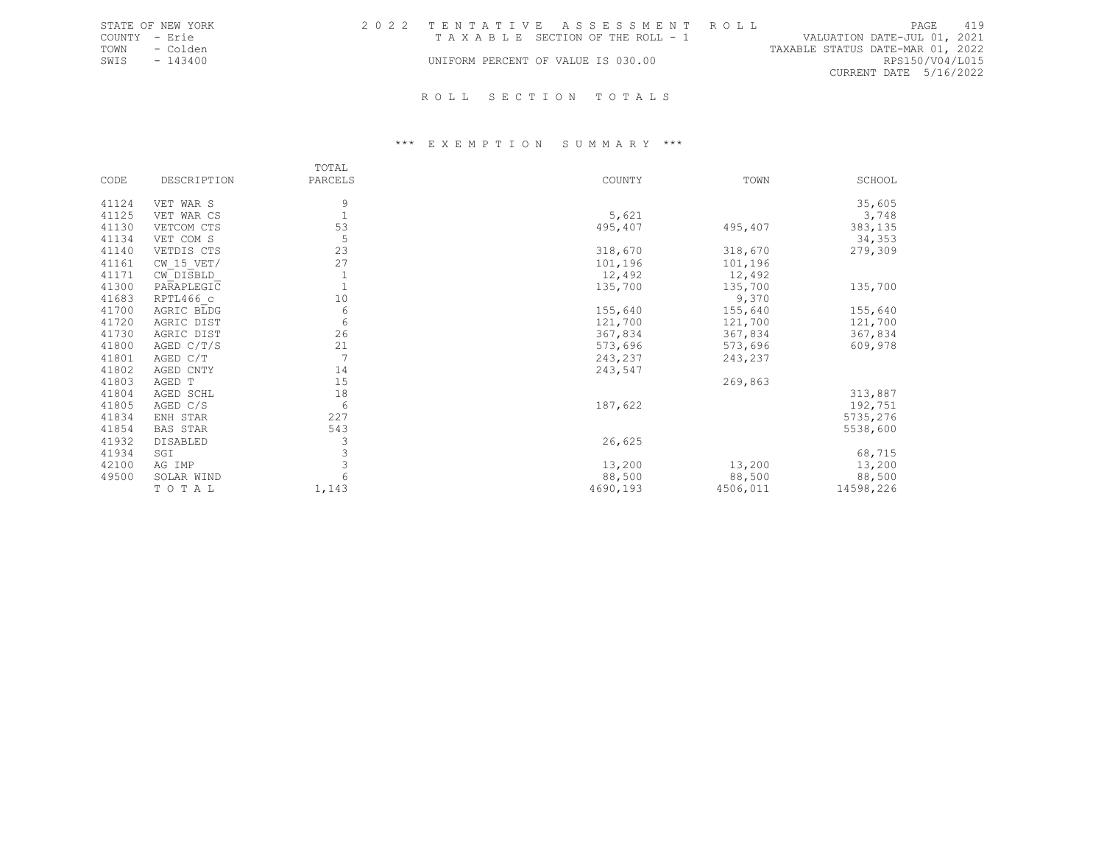|               | STATE OF NEW YORK | 2022 TENTATIVE ASSESSMENT ROLL     |  |                                 |                                  |                        | PAGE            | 419 |
|---------------|-------------------|------------------------------------|--|---------------------------------|----------------------------------|------------------------|-----------------|-----|
| COUNTY - Erie |                   |                                    |  | TAXABLE SECTION OF THE ROLL - 1 | VALUATION DATE-JUL 01, 2021      |                        |                 |     |
| TOWN          | - Colden          |                                    |  |                                 | TAXABLE STATUS DATE-MAR 01, 2022 |                        |                 |     |
| SWIS          | $-143400$         | UNIFORM PERCENT OF VALUE IS 030.00 |  |                                 |                                  |                        | RPS150/V04/L015 |     |
|               |                   |                                    |  |                                 |                                  | CURRENT DATE 5/16/2022 |                 |     |
|               |                   | ROLL SECTION TOTALS                |  |                                 |                                  |                        |                 |     |

|       |                 | TOTAL          |          |          |           |
|-------|-----------------|----------------|----------|----------|-----------|
| CODE  | DESCRIPTION     | PARCELS        | COUNTY   | TOWN     | SCHOOL    |
| 41124 | VET WAR S       | 9              |          |          | 35,605    |
| 41125 | VET WAR CS      |                | 5,621    |          | 3,748     |
| 41130 | VETCOM CTS      | 53             | 495,407  | 495,407  | 383,135   |
| 41134 | VET COM S       | 5              |          |          | 34,353    |
| 41140 | VETDIS CTS      | 23             | 318,670  | 318,670  | 279,309   |
| 41161 | $CW$ 15 VET/    | 27             | 101,196  | 101,196  |           |
| 41171 | CW DISBLD       | 1              | 12,492   | 12,492   |           |
| 41300 | PARAPLEGIC      |                | 135,700  | 135,700  | 135,700   |
| 41683 | RPTL466 c       | 10             |          | 9,370    |           |
| 41700 | AGRIC BLDG      | 6              | 155,640  | 155,640  | 155,640   |
| 41720 | AGRIC DIST      | 6              | 121,700  | 121,700  | 121,700   |
| 41730 | AGRIC DIST      | 26             | 367,834  | 367,834  | 367,834   |
| 41800 | AGED C/T/S      | 21             | 573,696  | 573,696  | 609,978   |
| 41801 | AGED C/T        | $\overline{7}$ | 243,237  | 243,237  |           |
| 41802 | AGED CNTY       | 14             | 243,547  |          |           |
| 41803 | AGED T          | 15             |          | 269,863  |           |
| 41804 | AGED SCHL       | 18             |          |          | 313,887   |
| 41805 | AGED C/S        | 6              | 187,622  |          | 192,751   |
| 41834 | ENH STAR        | 227            |          |          | 5735,276  |
| 41854 | <b>BAS STAR</b> | 543            |          |          | 5538,600  |
| 41932 | DISABLED        | 3              | 26,625   |          |           |
| 41934 | SGI             | 3              |          |          | 68,715    |
| 42100 | AG IMP          | 3              | 13,200   | 13,200   | 13,200    |
| 49500 | SOLAR WIND      |                | 88,500   | 88,500   | 88,500    |
|       | TO TAL          | 1,143          | 4690,193 | 4506,011 | 14598,226 |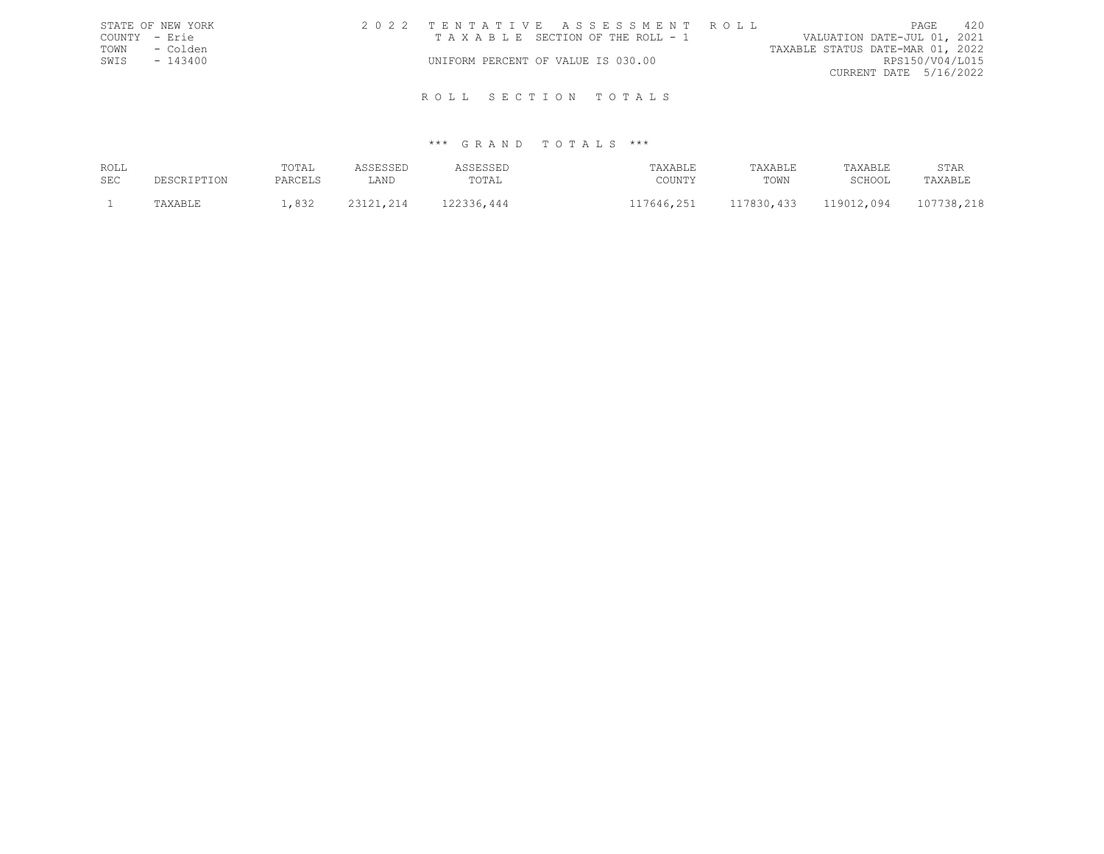|               | STATE OF NEW YORK |                                    |  |  | 2022 TENTATIVE ASSESSMENT ROLL  |  |                                  | PAGE                   | 420 |
|---------------|-------------------|------------------------------------|--|--|---------------------------------|--|----------------------------------|------------------------|-----|
| COUNTY - Erie |                   |                                    |  |  | TAXABLE SECTION OF THE ROLL - 1 |  | VALUATION DATE-JUL 01, 2021      |                        |     |
| TOWN          | - Colden          |                                    |  |  |                                 |  | TAXABLE STATUS DATE-MAR 01, 2022 |                        |     |
| SWIS          | $-143400$         | UNIFORM PERCENT OF VALUE IS 030.00 |  |  |                                 |  |                                  | RPS150/V04/L015        |     |
|               |                   |                                    |  |  |                                 |  |                                  | CURRENT DATE 5/16/2022 |     |
|               |                   |                                    |  |  |                                 |  |                                  |                        |     |
|               |                   |                                    |  |  | ROLL SECTION TOTALS             |  |                                  |                        |     |

| ROLL<br>SEC | DESCRIPTION | TOTAL<br>PARCELS | <b>\SSESSED</b><br>LAND | <b>\SSESSED</b><br>TOTAL | TAXABLE<br>COUNTY | TAXABLE<br>TOWN | TAXABLE<br>SCHOOL | STAR<br>TAXABLE |
|-------------|-------------|------------------|-------------------------|--------------------------|-------------------|-----------------|-------------------|-----------------|
|             | TAXABLE     | ,832             | 23121,214               | 122336,444               | 117646,251        | 117830,433      | 119012,094        | 107738,218      |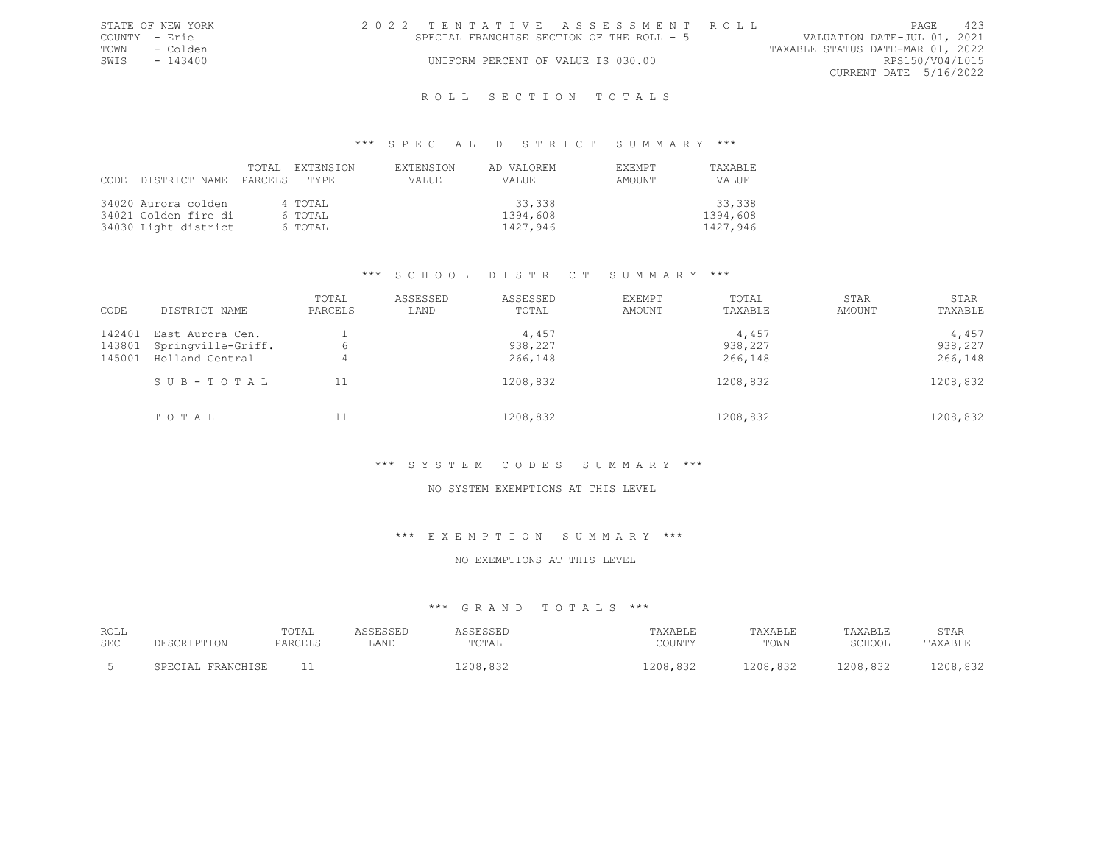|               | STATE OF NEW YORK | 2022 TENTATIVE ASSESSMENT ROLL |                                           |                                    |  |  |  |                                  |                        | <b>PAGE</b> | 423 |
|---------------|-------------------|--------------------------------|-------------------------------------------|------------------------------------|--|--|--|----------------------------------|------------------------|-------------|-----|
| COUNTY - Erie |                   |                                | SPECIAL FRANCHISE SECTION OF THE ROLL - 5 |                                    |  |  |  | VALUATION DATE-JUL 01, 2021      |                        |             |     |
| TOWN          | - Colden          |                                |                                           |                                    |  |  |  | TAXABLE STATUS DATE-MAR 01, 2022 |                        |             |     |
| SWIS          | - 143400          |                                |                                           | UNIFORM PERCENT OF VALUE IS 030.00 |  |  |  |                                  | RPS150/V04/L015        |             |     |
|               |                   |                                |                                           |                                    |  |  |  |                                  | CURRENT DATE 5/16/2022 |             |     |
|               |                   |                                |                                           |                                    |  |  |  |                                  |                        |             |     |

## \*\*\* S P E C I A L D I S T R I C T S U M M A R Y \*\*\*

| CODE DISTRICT NAME PARCELS TYPE | TOTAL. | EXTENSION | <b>EXTENSION</b><br>VALUE | AD VALOREM<br>VALUE | <b>EXEMPT</b><br>AMOUNT | <b>TAXABLE</b><br>VALUE |
|---------------------------------|--------|-----------|---------------------------|---------------------|-------------------------|-------------------------|
| 34020 Aurora colden             |        | 4 TOTAL   |                           | 33,338              |                         | 33,338                  |
| 34021 Colden fire di            |        | 6 TOTAL   |                           | 1394,608            |                         | 1394,608                |
| 34030 Light district            |        | 6 TOTAL   |                           | 1427,946            |                         | 1427,946                |

#### \*\*\* S C H O O L D I S T R I C T S U M M A R Y \*\*\*

| CODE                       | DISTRICT NAME                                             | TOTAL<br>PARCELS | ASSESSED<br>LAND | ASSESSED<br>TOTAL           | EXEMPT<br>AMOUNT | TOTAL<br>TAXABLE            | STAR<br>AMOUNT | STAR<br>TAXABLE             |
|----------------------------|-----------------------------------------------------------|------------------|------------------|-----------------------------|------------------|-----------------------------|----------------|-----------------------------|
| 142401<br>143801<br>145001 | East Aurora Cen.<br>Springville-Griff.<br>Holland Central | 6<br>4           |                  | 4,457<br>938,227<br>266,148 |                  | 4,457<br>938,227<br>266,148 |                | 4,457<br>938,227<br>266,148 |
|                            | SUB-TOTAL                                                 |                  |                  | 1208,832                    |                  | 1208,832                    |                | 1208,832                    |
|                            | TOTAL                                                     | 11               |                  | 1208,832                    |                  | 1208,832                    |                | 1208,832                    |

## \*\*\* S Y S T E M C O D E S S U M M A R Y \*\*\*

## NO SYSTEM EXEMPTIONS AT THIS LEVEL

## \*\*\* E X E M P T I O N S U M M A R Y \*\*\*

#### NO EXEMPTIONS AT THIS LEVEL

| ROLL<br>SEC | DE SCRIPTON       | TOTAL<br>PARCELS | LAND | <b>ASSESSED</b><br>TOTAI | TAXABLE<br>COUNTY | TAXABLE<br>TOWN | TAXABLE<br>SCHOOL | STAR<br>TAXABLE |
|-------------|-------------------|------------------|------|--------------------------|-------------------|-----------------|-------------------|-----------------|
|             | SPECIAL FRANCHISE |                  |      | 1208,832                 | 1208,832          | 1208,832        | 1208,832          | 1208,832        |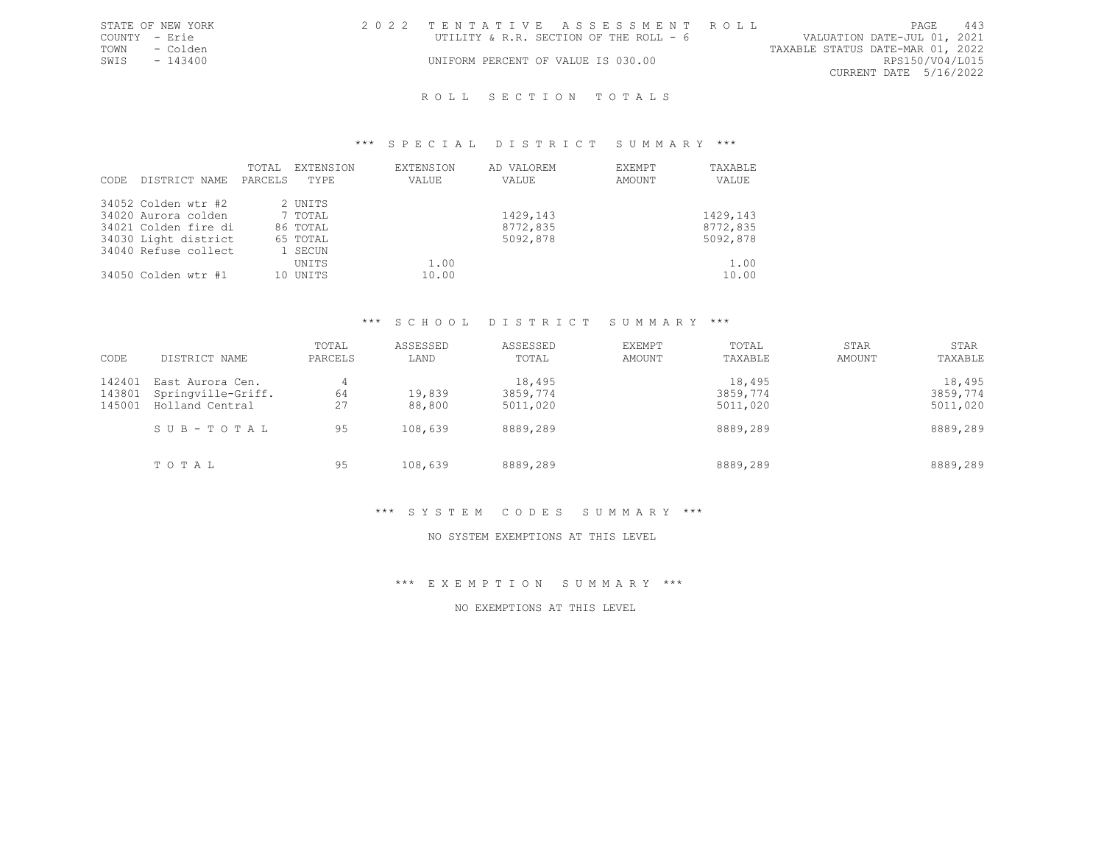|               | STATE OF NEW YORK | 2022 TENTATIVE ASSESSMENT ROLL         |  |  |                                  |                        | PAGE. | 443 |
|---------------|-------------------|----------------------------------------|--|--|----------------------------------|------------------------|-------|-----|
| COUNTY - Erie |                   | UTILITY & R.R. SECTION OF THE ROLL - 6 |  |  | VALUATION DATE-JUL 01, 2021      |                        |       |     |
| TOWN          | - Colden          |                                        |  |  | TAXABLE STATUS DATE-MAR 01, 2022 |                        |       |     |
| SWIS          | - 143400          | UNIFORM PERCENT OF VALUE IS 030.00     |  |  |                                  | RPS150/V04/L015        |       |     |
|               |                   |                                        |  |  |                                  | CURRENT DATE 5/16/2022 |       |     |
|               |                   |                                        |  |  |                                  |                        |       |     |

## \*\*\* S P E C I A L D I S T R I C T S U M M A R Y \*\*\*

| CODE | DISTRICT NAME        | TOTAL<br>PARCELS | EXTENSION<br>TYPE | <b>EXTENSION</b><br>VALUE | AD VALOREM<br>VALUE | EXEMPT<br>AMOUNT | TAXABLE<br>VALUE |
|------|----------------------|------------------|-------------------|---------------------------|---------------------|------------------|------------------|
|      | 34052 Colden wtr #2  |                  | 2 UNITS           |                           |                     |                  |                  |
|      | 34020 Aurora colden  |                  | 7 TOTAL           |                           | 1429,143            |                  | 1429,143         |
|      | 34021 Colden fire di |                  | 86 TOTAL          |                           | 8772,835            |                  | 8772,835         |
|      | 34030 Light district |                  | 65 TOTAL          |                           | 5092,878            |                  | 5092,878         |
|      | 34040 Refuse collect |                  | 1 SECUN           |                           |                     |                  |                  |
|      |                      |                  | UNITS             | 1.00                      |                     |                  | 1.00             |
|      | 34050 Colden wtr #1  |                  | 10 UNITS          | 10.00                     |                     |                  | 10.00            |

## \*\*\* S C H O O L D I S T R I C T S U M M A R Y \*\*\*

| CODE   | DISTRICT NAME      | TOTAL<br>PARCELS | ASSESSED<br>LAND | ASSESSED<br>TOTAL | EXEMPT<br>AMOUNT | TOTAL<br>TAXABLE | STAR<br>AMOUNT | STAR<br>TAXABLE |
|--------|--------------------|------------------|------------------|-------------------|------------------|------------------|----------------|-----------------|
| 142401 | East Aurora Cen.   | 4                |                  | 18,495            |                  | 18,495           |                | 18,495          |
| 143801 | Springville-Griff. | 64               | 19,839           | 3859,774          |                  | 3859,774         |                | 3859,774        |
| 145001 | Holland Central    | 27               | 88,800           | 5011,020          |                  | 5011,020         |                | 5011,020        |
|        | SUB-TOTAL          | 95               | 108,639          | 8889,289          |                  | 8889,289         |                | 8889,289        |
|        | TOTAL              | 95               | 108,639          | 8889,289          |                  | 8889,289         |                | 8889,289        |

## \*\*\* S Y S T E M C O D E S S U M M A R Y \*\*\*

## NO SYSTEM EXEMPTIONS AT THIS LEVEL

\*\*\* E X E M P T I O N S U M M A R Y \*\*\*

NO EXEMPTIONS AT THIS LEVEL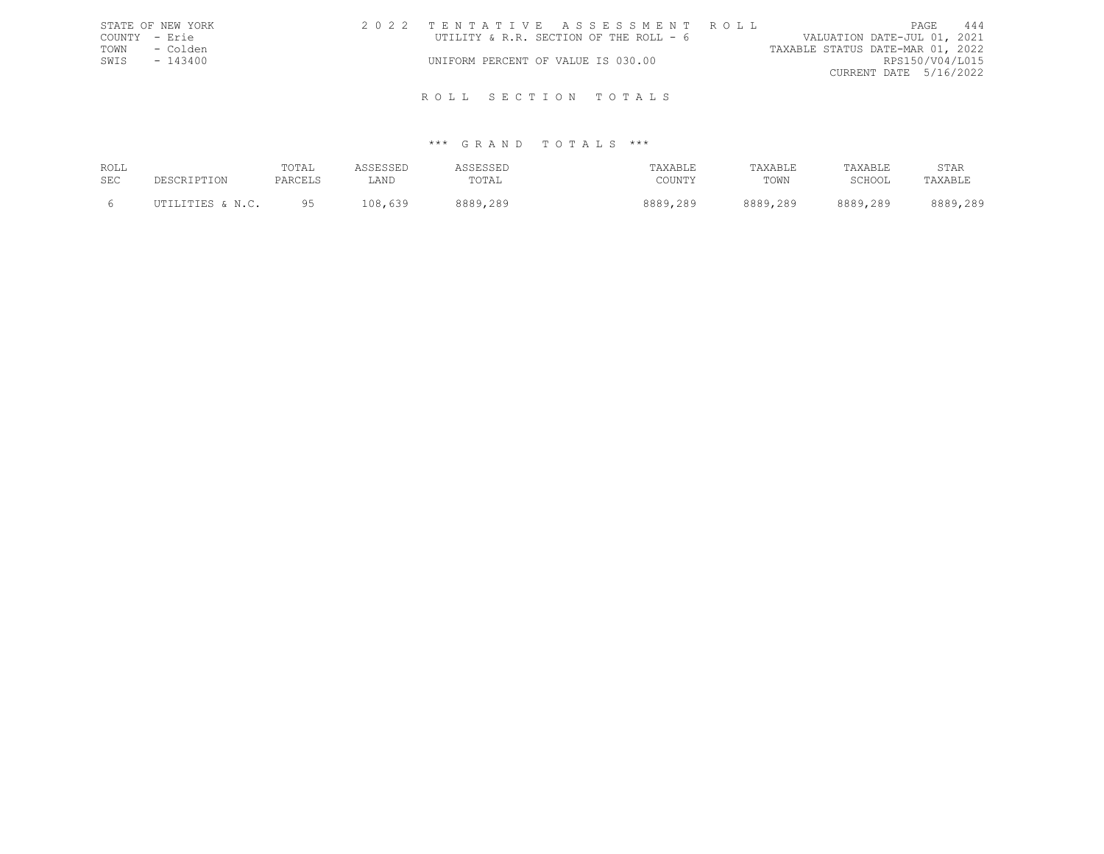| STATE OF NEW YORK | 2022 TENTATIVE ASSESSMENT ROLL         | PAGE                             | 444 |
|-------------------|----------------------------------------|----------------------------------|-----|
| COUNTY - Erie     | UTILITY & R.R. SECTION OF THE ROLL - 6 | VALUATION DATE-JUL 01, 2021      |     |
| - Colden<br>TOWN  |                                        | TAXABLE STATUS DATE-MAR 01, 2022 |     |
| SWIS<br>$-143400$ | UNIFORM PERCENT OF VALUE IS 030.00     | RPS150/V04/L015                  |     |
|                   |                                        | CURRENT DATE 5/16/2022           |     |
|                   |                                        |                                  |     |
|                   | ROLL SECTION TOTALS                    |                                  |     |

| ROLL<br><b>SEC</b> | DESCRIPTION      | TOTAL<br>PARCELS | ASSESSED<br>LAND | SSESSEL<br>TOTAL | TAXABLE<br>COUNTY | TAXABLE<br>TOWN | TAXABLE<br>SCHOOL | STAR<br>TAXABLE |
|--------------------|------------------|------------------|------------------|------------------|-------------------|-----------------|-------------------|-----------------|
|                    | UTILITIES & N.C. | QF               | 108,639          | 8889,289         | 8889,289          | 8889,289        | 8889,289          | 8889,289        |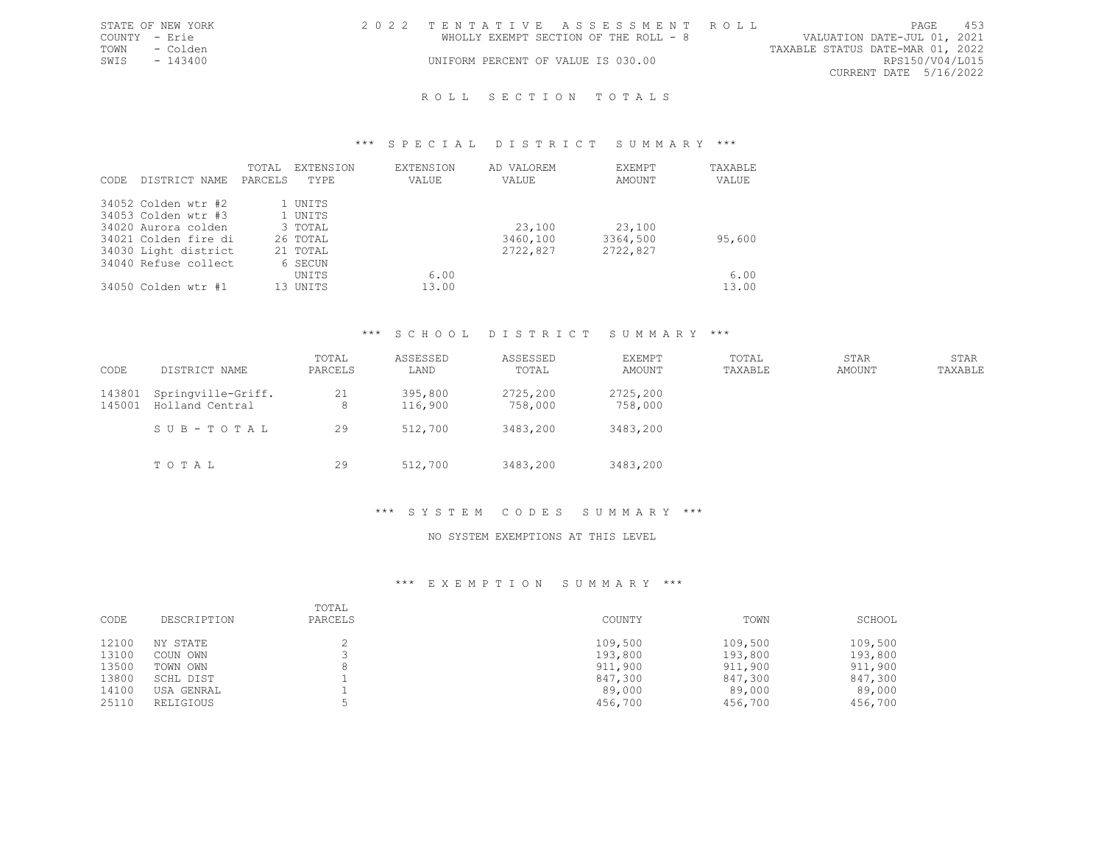|               | STATE OF NEW YORK | 2022 TENTATIVE ASSESSMENT ROLL        |  |                                  |                        | <b>PAGE</b> | 453 |
|---------------|-------------------|---------------------------------------|--|----------------------------------|------------------------|-------------|-----|
| COUNTY - Erie |                   | WHOLLY EXEMPT SECTION OF THE ROLL - 8 |  | VALUATION DATE-JUL 01, 2021      |                        |             |     |
| TOWN          | - Colden          |                                       |  | TAXABLE STATUS DATE-MAR 01, 2022 |                        |             |     |
| SWIS          | - 143400          | UNIFORM PERCENT OF VALUE IS 030.00    |  |                                  | RPS150/V04/L015        |             |     |
|               |                   |                                       |  |                                  | CURRENT DATE 5/16/2022 |             |     |
|               |                   |                                       |  |                                  |                        |             |     |

## \*\*\* S P E C I A L D I S T R I C T S U M M A R Y \*\*\*

| CODE | DISTRICT NAME        | TOTAL<br>PARCELS | EXTENSION<br>TYPE. | EXTENSION<br>VALUE | AD VALOREM<br>VALUE | EXEMPT<br>AMOUNT | TAXABLE<br>VALUE |
|------|----------------------|------------------|--------------------|--------------------|---------------------|------------------|------------------|
|      | 34052 Colden wtr #2  |                  | 1 UNITS            |                    |                     |                  |                  |
|      | 34053 Colden wtr #3  |                  | 1 UNITS            |                    |                     |                  |                  |
|      | 34020 Aurora colden  |                  | 3 TOTAL            |                    | 23,100              | 23,100           |                  |
|      | 34021 Colden fire di |                  | 26 TOTAL           |                    | 3460,100            | 3364,500         | 95,600           |
|      | 34030 Light district |                  | 21 TOTAL           |                    | 2722,827            | 2722,827         |                  |
|      | 34040 Refuse collect |                  | 6 SECUN            |                    |                     |                  |                  |
|      |                      |                  | UNITS              | 6.00               |                     |                  | 6.00             |
|      | 34050 Colden wtr #1  |                  | 13 UNITS           | 13.00              |                     |                  | 13.00            |

## \*\*\* S C H O O L D I S T R I C T S U M M A R Y \*\*\*

| CODE             | DISTRICT NAME                         | TOTAL<br>PARCELS | ASSESSED<br>LAND   | ASSESSED<br>TOTAL   | EXEMPT<br>AMOUNT    | TOTAL<br>TAXABLE | STAR<br>AMOUNT | STAR<br>TAXABLE |
|------------------|---------------------------------------|------------------|--------------------|---------------------|---------------------|------------------|----------------|-----------------|
| 143801<br>145001 | Springville-Griff.<br>Holland Central | 21<br>8          | 395,800<br>116,900 | 2725,200<br>758,000 | 2725,200<br>758,000 |                  |                |                 |
|                  | SUB-TOTAL                             | 29               | 512,700            | 3483,200            | 3483,200            |                  |                |                 |
|                  | TOTAL                                 | 29               | 512,700            | 3483,200            | 3483,200            |                  |                |                 |

## \*\*\* S Y S T E M C O D E S S U M M A R Y \*\*\*

## NO SYSTEM EXEMPTIONS AT THIS LEVEL

| CODE  | DESCRIPTION | TOTAL<br>PARCELS | COUNTY  | TOWN    | SCHOOL  |
|-------|-------------|------------------|---------|---------|---------|
| 12100 | NY STATE    |                  | 109,500 | 109,500 | 109,500 |
| 13100 | COUN OWN    |                  | 193,800 | 193,800 | 193,800 |
| 13500 | TOWN OWN    |                  | 911,900 | 911,900 | 911,900 |
| 13800 | SCHL DIST   |                  | 847,300 | 847,300 | 847,300 |
| 14100 | USA GENRAL  |                  | 89,000  | 89,000  | 89,000  |
| 25110 | RELIGIOUS   |                  | 456,700 | 456,700 | 456,700 |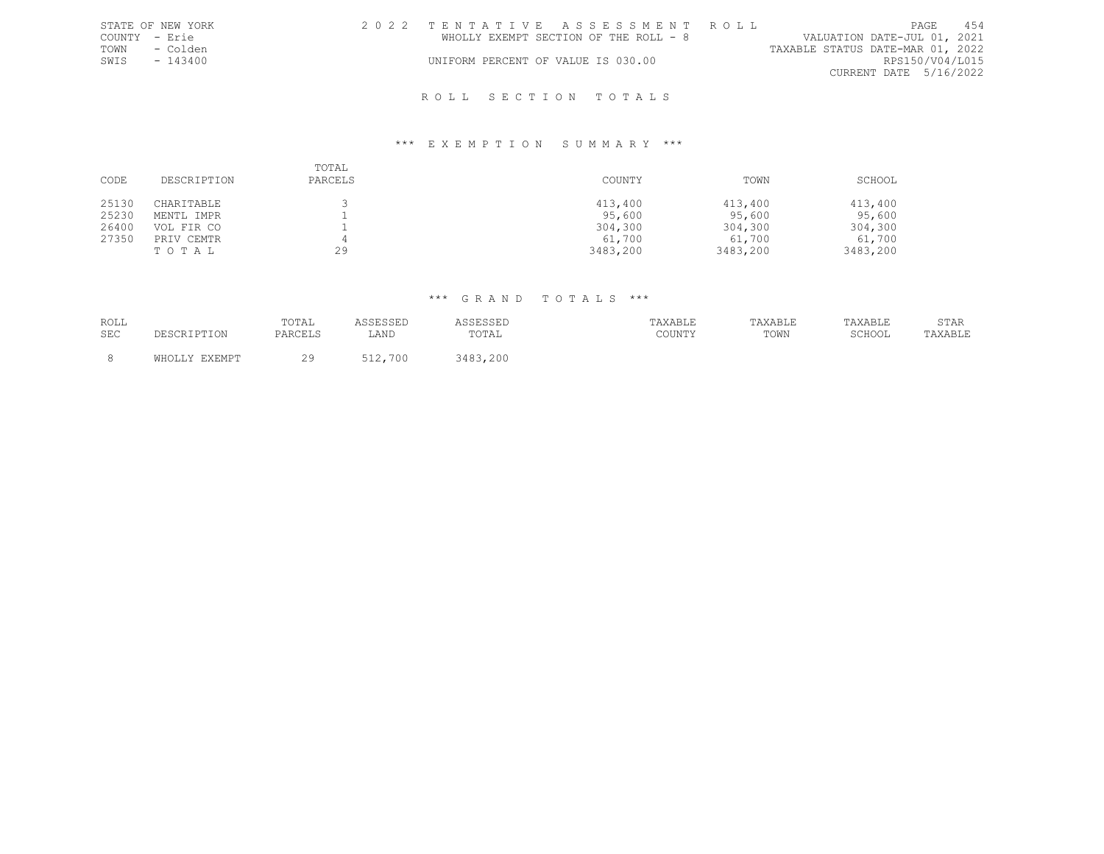|               | STATE OF NEW YORK |  |  | 2022 TENTATIVE ASSESSMENT ROLL        |                                  |                        | PAGE | 454 |
|---------------|-------------------|--|--|---------------------------------------|----------------------------------|------------------------|------|-----|
| COUNTY - Erie |                   |  |  | WHOLLY EXEMPT SECTION OF THE ROLL - 8 | VALUATION DATE-JUL 01, 2021      |                        |      |     |
| TOWN          | - Colden          |  |  |                                       | TAXABLE STATUS DATE-MAR 01, 2022 |                        |      |     |
| SWIS          | $-143400$         |  |  | UNIFORM PERCENT OF VALUE IS 030.00    |                                  | RPS150/V04/L015        |      |     |
|               |                   |  |  |                                       |                                  | CURRENT DATE 5/16/2022 |      |     |
|               |                   |  |  | ROLL SECTION TOTALS                   |                                  |                        |      |     |

## \*\*\* E X E M P T I O N S U M M A R Y \*\*\*

| CODE           | DESCRIPTION                       | TOTAL<br>PARCELS | COUNTY                        | TOWN                          | SCHOOL                        |
|----------------|-----------------------------------|------------------|-------------------------------|-------------------------------|-------------------------------|
| 25130<br>25230 | CHARITABLE<br>MENTL IMPR          |                  | 413,400<br>95,600             | 413,400<br>95,600             | 413,400<br>95,600             |
| 26400<br>27350 | VOL FIR CO<br>PRIV CEMTR<br>TOTAL | 29               | 304,300<br>61,700<br>3483,200 | 304,300<br>61,700<br>3483,200 | 304,300<br>61,700<br>3483,200 |

| ROLL       |                        | TOTAL   | ASSESSED | ASSESSED | TAXABLE | TAXABLE | TAXABLE | STAR    |
|------------|------------------------|---------|----------|----------|---------|---------|---------|---------|
| <b>SEC</b> | ∸∸∽⊷                   | PARCELS | LAND     | TOTAL    | COUNTY  | TOWN    | SCHOOL  | TAXABLE |
|            |                        |         |          |          |         |         |         |         |
|            | <b>EXEMPT</b><br>MH∩T. | 29      | 512,700  | 3483,200 |         |         |         |         |
|            |                        |         |          |          |         |         |         |         |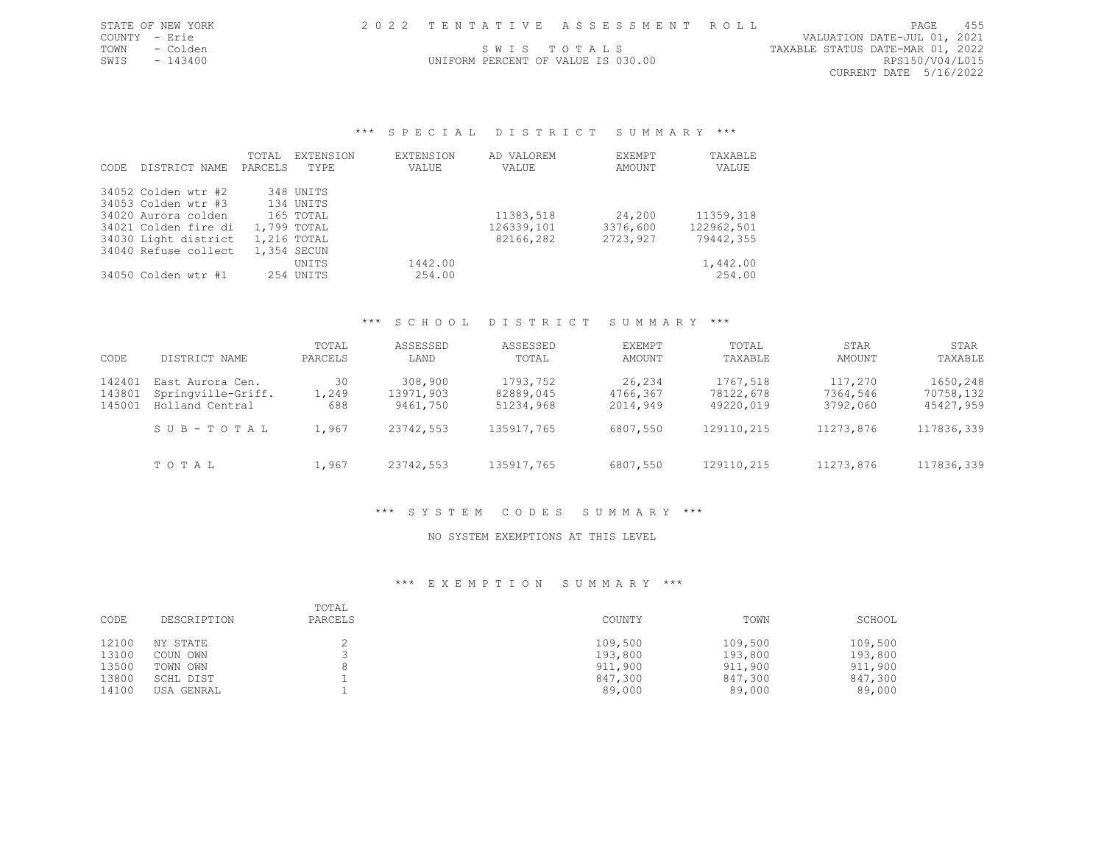|  |  |  |  | 2022 TENTATIVE ASSESSMENT ROLL |  |  |  |  |  |  |  |  |  |  |  |  |  |  |  |  |  |  |  |  |  |  |  |  |  |  |  |
|--|--|--|--|--------------------------------|--|--|--|--|--|--|--|--|--|--|--|--|--|--|--|--|--|--|--|--|--|--|--|--|--|--|--|
|--|--|--|--|--------------------------------|--|--|--|--|--|--|--|--|--|--|--|--|--|--|--|--|--|--|--|--|--|--|--|--|--|--|--|

UNIFORM PERCENT OF VALUE IS 030.00

STATE OF NEW YORK 2 0 2 2 T E N T A T I V E A S S E S S M E N T R O L L PAGE 455 COUNTY - Erie VALUATION DATE-JUL 01, 2021 TOWN - Colden SWIS TO TALS SOURCE TAXABLE STATUS DATE-MAR 01, 2022<br>SWIS - 143400 SWIS - 143400 CURRENT DATE 5/16/2022

## \*\*\* S P E C I A L D I S T R I C T S U M M A R Y \*\*\*

|       |                      | TOTAL       | EXTENSION   | <b>EXTENSION</b> | AD VALOREM | <b>FXEMPT</b> | TAXABLE    |
|-------|----------------------|-------------|-------------|------------------|------------|---------------|------------|
| CODE. | DISTRICT NAME        | PARCELS     | TYPE        | VALUE            | VALUE      | AMOUNT        | VALUE      |
|       | 34052 Colden wtr #2  |             | 348 UNITS   |                  |            |               |            |
|       | 34053 Colden wtr #3  |             | 134 UNITS   |                  |            |               |            |
|       | 34020 Aurora colden  |             | 165 TOTAL   |                  | 11383,518  | 24,200        | 11359,318  |
|       | 34021 Colden fire di | 1,799 TOTAL |             |                  | 126339,101 | 3376,600      | 122962,501 |
|       | 34030 Light district |             | 1,216 TOTAL |                  | 82166,282  | 2723,927      | 79442,355  |
|       | 34040 Refuse collect |             | 1,354 SECUN |                  |            |               |            |
|       |                      |             | UNITS       | 1442.00          |            |               | 1,442.00   |
|       | 34050 Colden wtr #1  |             | 254 UNITS   | 254.00           |            |               | 254.00     |

#### \*\*\* S C H O O L D I S T R I C T S U M M A R Y \*\*\*

| CODE                       | DISTRICT NAME                                                          | TOTAL<br>PARCELS            | ASSESSED<br>LAND                              | ASSESSED<br>TOTAL                                | EXEMPT<br>AMOUNT                           | TOTAL<br>TAXABLE                                 | STAR<br>AMOUNT                               | STAR<br>TAXABLE                                  |
|----------------------------|------------------------------------------------------------------------|-----------------------------|-----------------------------------------------|--------------------------------------------------|--------------------------------------------|--------------------------------------------------|----------------------------------------------|--------------------------------------------------|
| 142401<br>143801<br>145001 | East Aurora Cen.<br>Springville-Griff.<br>Holland Central<br>SUB-TOTAL | 30<br>1,249<br>688<br>1,967 | 308,900<br>13971,903<br>9461,750<br>23742,553 | 1793,752<br>82889,045<br>51234,968<br>135917,765 | 26,234<br>4766,367<br>2014,949<br>6807,550 | 1767,518<br>78122,678<br>49220,019<br>129110,215 | 117,270<br>7364,546<br>3792,060<br>11273,876 | 1650,248<br>70758,132<br>45427,959<br>117836,339 |
|                            | TOTAL                                                                  | 1,967                       | 23742,553                                     | 135917,765                                       | 6807,550                                   | 129110,215                                       | 11273,876                                    | 117836,339                                       |

#### \*\*\* S Y S T E M C O D E S S U M M A R Y \*\*\*

#### NO SYSTEM EXEMPTIONS AT THIS LEVEL

| CODE  | DESCRIPTION | TOTAL<br>PARCELS | COUNTY  | TOWN    | SCHOOL  |
|-------|-------------|------------------|---------|---------|---------|
| 12100 | NY STATE    |                  | 109,500 | 109,500 | 109,500 |
| 13100 | COUN OWN    |                  | 193,800 | 193,800 | 193,800 |
| 13500 | TOWN OWN    |                  | 911,900 | 911,900 | 911,900 |
| 13800 | SCHL DIST   |                  | 847,300 | 847,300 | 847,300 |
| 14100 | USA GENRAL  |                  | 89,000  | 89,000  | 89,000  |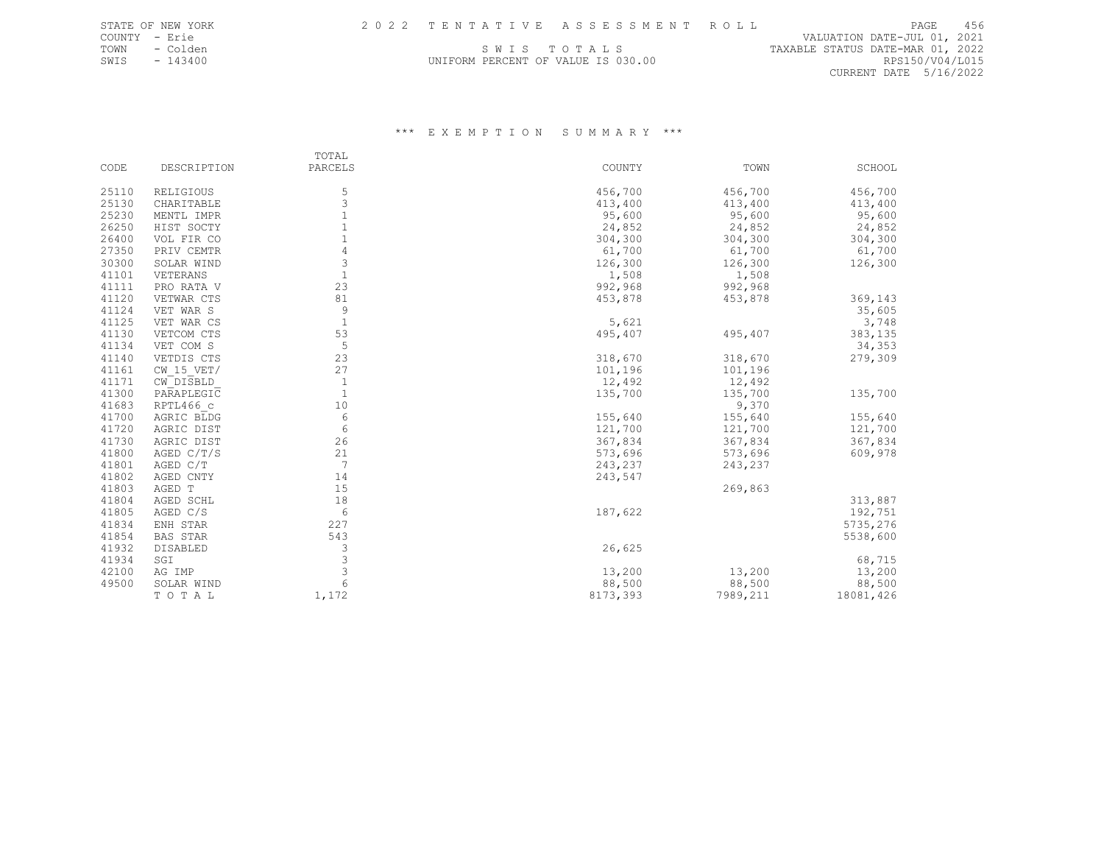COUNTY - Erie VALUATION DATE-JUL 01, 2021 TOWN - Colden Same Same Same Same Same Same Same States of the Colden States of the States of the States of the States of the States of the States of the States of the States of the States of the States of the States of th SWIS - 143400 UNIFORM PERCENT OF VALUE IS 030.00 RPS150/V04/L015 CURRENT DATE 5/16/2022

|       |                 | TOTAL        |          |          |           |
|-------|-----------------|--------------|----------|----------|-----------|
| CODE  | DESCRIPTION     | PARCELS      | COUNTY   | TOWN     | SCHOOL    |
| 25110 | RELIGIOUS       | 5            | 456,700  | 456,700  | 456,700   |
| 25130 | CHARITABLE      | 3            | 413,400  | 413,400  | 413,400   |
| 25230 | MENTL IMPR      | $\mathbf{1}$ | 95,600   | 95,600   | 95,600    |
| 26250 | HIST SOCTY      | $\mathbf{1}$ | 24,852   | 24,852   | 24,852    |
| 26400 | VOL FIR CO      | $1\,$        | 304,300  | 304,300  | 304,300   |
| 27350 | PRIV CEMTR      | 4            | 61,700   | 61,700   | 61,700    |
| 30300 | SOLAR WIND      | 3            | 126,300  | 126,300  | 126,300   |
| 41101 | VETERANS        | $1\,$        | 1,508    | 1,508    |           |
| 41111 | PRO RATA V      | 23           | 992,968  | 992,968  |           |
| 41120 | VETWAR CTS      | 81           | 453,878  | 453,878  | 369,143   |
| 41124 | VET WAR S       | 9            |          |          | 35,605    |
| 41125 | VET WAR CS      | $\mathbf{1}$ | 5,621    |          | 3,748     |
| 41130 | VETCOM CTS      | 53           | 495,407  | 495,407  | 383,135   |
| 41134 | VET COM S       | 5            |          |          | 34,353    |
| 41140 | VETDIS CTS      | 23           | 318,670  | 318,670  | 279,309   |
| 41161 | $CW$ 15 VET/    | 27           | 101,196  | 101,196  |           |
| 41171 | CW DISBLD       | $\mathbf{1}$ | 12,492   | 12,492   |           |
| 41300 | PARAPLEGIC      | $\mathbf{1}$ | 135,700  | 135,700  | 135,700   |
| 41683 | RPTL466 c       | 10           |          | 9,370    |           |
| 41700 | AGRIC BLDG      | 6            | 155,640  | 155,640  | 155,640   |
| 41720 | AGRIC DIST      | 6            | 121,700  | 121,700  | 121,700   |
| 41730 | AGRIC DIST      | 26           | 367,834  | 367,834  | 367,834   |
| 41800 | AGED C/T/S      | 21           | 573,696  | 573,696  | 609,978   |
| 41801 | AGED C/T        | 7            | 243,237  | 243,237  |           |
| 41802 | AGED CNTY       | 14           | 243,547  |          |           |
| 41803 | AGED T          | 15           |          | 269,863  |           |
| 41804 | AGED SCHL       | 18           |          |          | 313,887   |
| 41805 | AGED C/S        | 6            | 187,622  |          | 192,751   |
| 41834 | ENH STAR        | 227          |          |          | 5735,276  |
| 41854 | <b>BAS STAR</b> | 543          |          |          | 5538,600  |
| 41932 | DISABLED        | 3            | 26,625   |          |           |
| 41934 | SGI             | 3            |          |          | 68,715    |
| 42100 | AG IMP          | 3            | 13,200   | 13,200   | 13,200    |
| 49500 | SOLAR WIND      | 6            | 88,500   | 88,500   | 88,500    |
|       | TOTAL           | 1,172        | 8173,393 | 7989,211 | 18081,426 |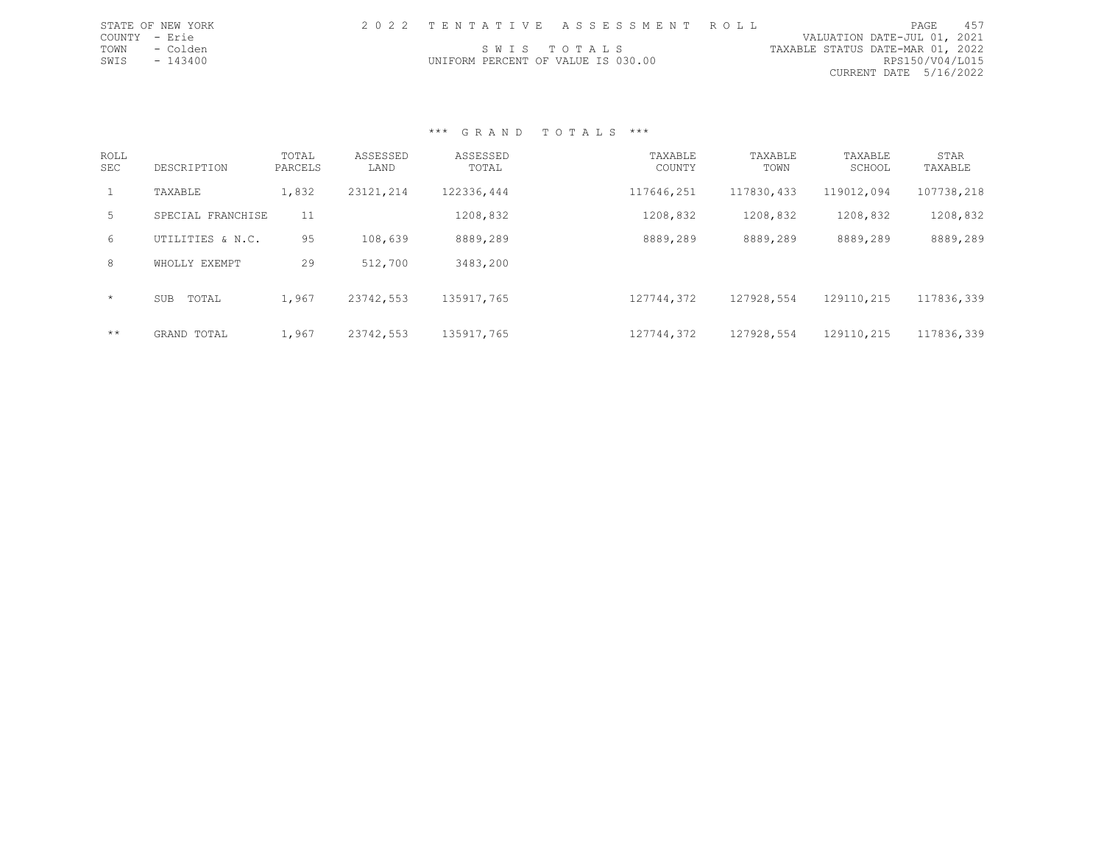| STATE OF NEW YORK |                                    | 2022 TENTATIVE ASSESSMENT ROLL |                                  | PAGE            | 457 |
|-------------------|------------------------------------|--------------------------------|----------------------------------|-----------------|-----|
| COUNTY - Erie     |                                    |                                | VALUATION DATE-JUL 01, 2021      |                 |     |
| TOWN - Colden     | SWIS TOTALS                        |                                | TAXABLE STATUS DATE-MAR 01, 2022 |                 |     |
| SWIS<br>$-143400$ | UNIFORM PERCENT OF VALUE IS 030.00 |                                |                                  | RPS150/V04/L015 |     |
|                   |                                    |                                | CURRENT DATE 5/16/2022           |                 |     |
|                   |                                    |                                |                                  |                 |     |

| <b>ROLL</b><br><b>SEC</b> | DESCRIPTION         | TOTAL<br>PARCELS | ASSESSED<br>LAND | ASSESSED<br>TOTAL | TAXABLE<br>COUNTY | TAXABLE<br>TOWN | TAXABLE<br>SCHOOL | STAR<br>TAXABLE |
|---------------------------|---------------------|------------------|------------------|-------------------|-------------------|-----------------|-------------------|-----------------|
| 1                         | TAXABLE             | 1,832            | 23121,214        | 122336,444        | 117646,251        | 117830,433      | 119012,094        | 107738,218      |
| 5                         | SPECIAL FRANCHISE   | 11               |                  | 1208,832          | 1208,832          | 1208,832        | 1208,832          | 1208,832        |
| 6                         | UTILITIES & N.C.    | 95               | 108,639          | 8889,289          | 8889,289          | 8889,289        | 8889,289          | 8889,289        |
| 8                         | WHOLLY EXEMPT       | 29               | 512,700          | 3483,200          |                   |                 |                   |                 |
| $\star$                   | TOTAL<br><b>SUB</b> | 1,967            | 23742,553        | 135917,765        | 127744,372        | 127928,554      | 129110,215        | 117836,339      |
| $***$                     | GRAND TOTAL         | 1,967            | 23742,553        | 135917,765        | 127744,372        | 127928,554      | 129110,215        | 117836,339      |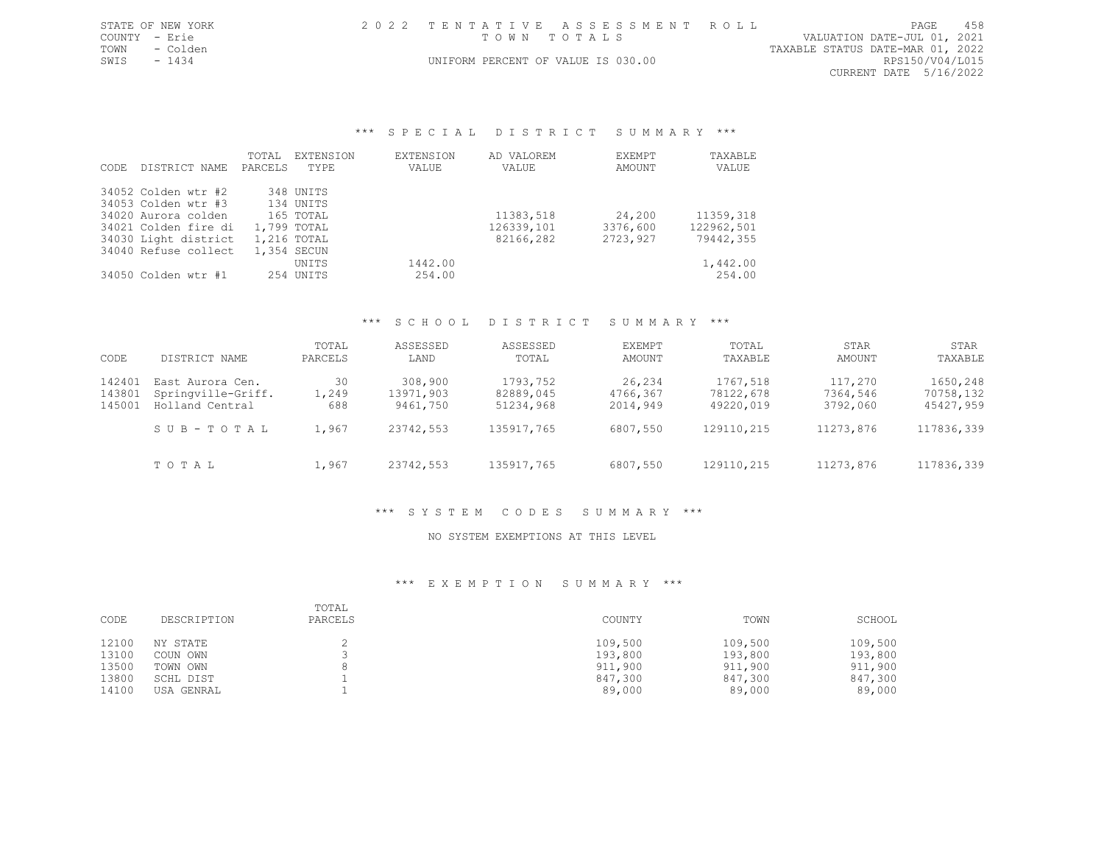|               | STATE OF NEW YORK | 2022 TENTATIVE ASSESSMENT ROLL     |  |                                  | PAGE                        | 458 |
|---------------|-------------------|------------------------------------|--|----------------------------------|-----------------------------|-----|
| COUNTY - Erie |                   | TOWN TOTALS                        |  |                                  | VALUATION DATE-JUL 01, 2021 |     |
|               | TOWN - Colden     |                                    |  | TAXABLE STATUS DATE-MAR 01, 2022 |                             |     |
| SWTS - 1434   |                   | UNIFORM PERCENT OF VALUE IS 030.00 |  |                                  | RPS150/V04/L015             |     |

CURRENT DATE 5/16/2022

#### \*\*\* SPECIAL DISTRICT SUMMARY \*\*\*

|       |                      | TOTAL   | EXTENSION   | <b>EXTENSION</b> | AD VALOREM | EXEMPT   | TAXABLE    |
|-------|----------------------|---------|-------------|------------------|------------|----------|------------|
| CODE. | DISTRICT NAME        | PARCELS | TYPE.       | VALUE            | VALUE      | AMOUNT   | VALUE      |
|       | 34052 Colden wtr #2  |         | 348 UNITS   |                  |            |          |            |
|       | 34053 Colden wtr #3  |         | 134 UNITS   |                  |            |          |            |
|       | 34020 Aurora colden  |         | 165 TOTAL   |                  | 11383,518  | 24,200   | 11359,318  |
|       | 34021 Colden fire di |         | 1,799 TOTAL |                  | 126339,101 | 3376,600 | 122962,501 |
|       | 34030 Light district |         | 1,216 TOTAL |                  | 82166,282  | 2723,927 | 79442,355  |
|       | 34040 Refuse collect |         | 1,354 SECUN |                  |            |          |            |
|       |                      |         | UNITS       | 1442.00          |            |          | 1,442.00   |
|       | 34050 Colden wtr #1  |         | 254 UNITS   | 254.00           |            |          | 254.00     |

## \*\*\* S C H O O L D I S T R I C T S U M M A R Y \*\*\*

| CODE                       | DISTRICT NAME                                             | TOTAL<br>PARCELS   | ASSESSED<br>LAND                 | ASSESSED<br>TOTAL                  | EXEMPT<br>AMOUNT               | TOTAL<br>TAXABLE                   | STAR<br>AMOUNT                  | STAR<br>TAXABLE                    |
|----------------------------|-----------------------------------------------------------|--------------------|----------------------------------|------------------------------------|--------------------------------|------------------------------------|---------------------------------|------------------------------------|
| 142401<br>143801<br>145001 | East Aurora Cen.<br>Springville-Griff.<br>Holland Central | 30<br>1,249<br>688 | 308,900<br>13971,903<br>9461,750 | 1793,752<br>82889,045<br>51234,968 | 26,234<br>4766,367<br>2014,949 | 1767,518<br>78122,678<br>49220,019 | 117,270<br>7364,546<br>3792,060 | 1650,248<br>70758,132<br>45427,959 |
|                            | SUB-TOTAL                                                 | 1,967              | 23742,553                        | 135917,765                         | 6807,550                       | 129110,215                         | 11273,876                       | 117836,339                         |
|                            | TOTAL                                                     | 1,967              | 23742,553                        | 135917,765                         | 6807,550                       | 129110,215                         | 11273,876                       | 117836,339                         |

## \*\*\* S Y S T E M C O D E S S U M M A R Y \*\*\*

## NO SYSTEM EXEMPTIONS AT THIS LEVEL

| CODE  | DESCRIPTION | TOTAL<br>PARCELS | COUNTY  | TOWN    | SCHOOL  |
|-------|-------------|------------------|---------|---------|---------|
| 12100 | NY STATE    |                  | 109,500 | 109,500 | 109,500 |
| 13100 | COUN OWN    |                  | 193,800 | 193,800 | 193,800 |
| 13500 | TOWN OWN    |                  | 911,900 | 911,900 | 911,900 |
| 13800 | SCHL DIST   |                  | 847,300 | 847,300 | 847,300 |
| 14100 | USA GENRAL  |                  | 89,000  | 89,000  | 89,000  |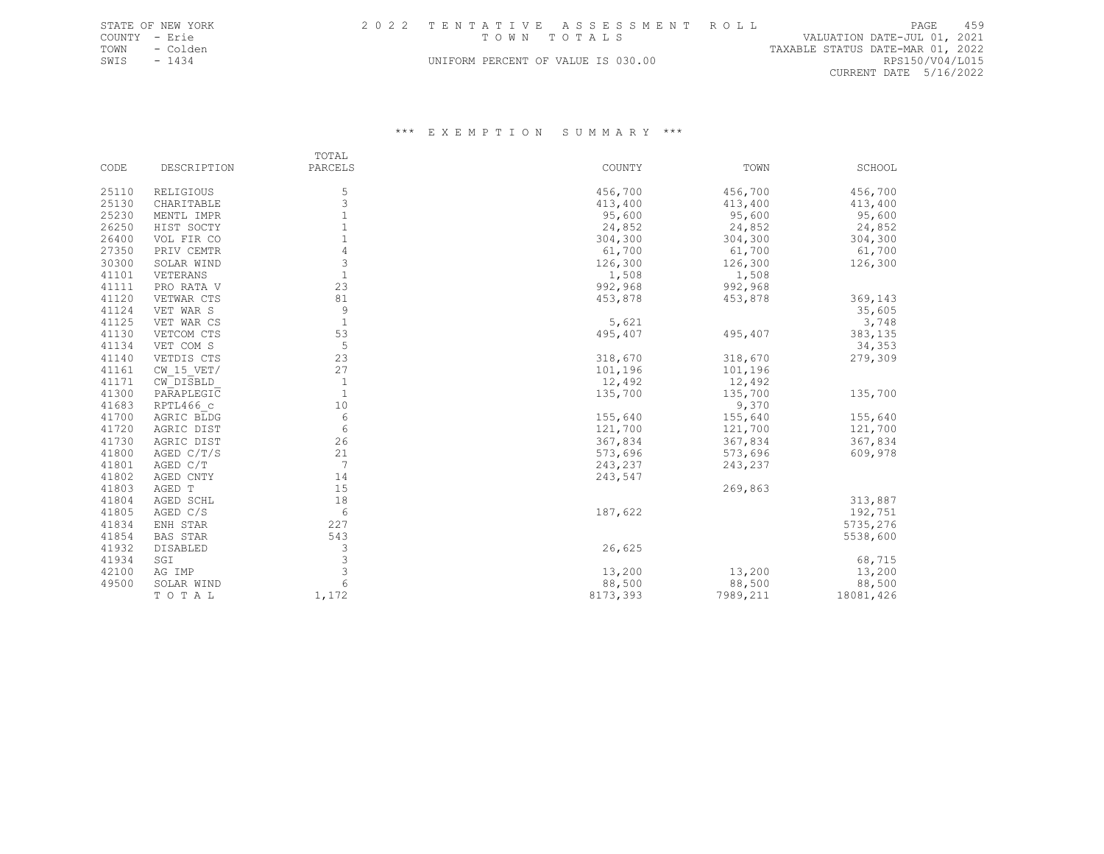TOWN - Colden - TAXABLE STATUS DATE-MAR 01, 2022 TOWN - Colden<br>SWIS - 1434 BUNIFORM PERCENT OF VALUE IS 030.00 REAXABLE STATUS DATE-MAR 01, 2022 CURRENT DATE 5/16/2022

|       |              | TOTAL        |          |          |           |
|-------|--------------|--------------|----------|----------|-----------|
| CODE  | DESCRIPTION  | PARCELS      | COUNTY   | TOWN     | SCHOOL    |
| 25110 | RELIGIOUS    | 5            | 456,700  | 456,700  | 456,700   |
| 25130 | CHARITABLE   | 3            | 413,400  | 413,400  | 413,400   |
| 25230 | MENTL IMPR   | $\mathbf{1}$ | 95,600   | 95,600   | 95,600    |
| 26250 | HIST SOCTY   | $\mathbf 1$  | 24,852   | 24,852   | 24,852    |
| 26400 | VOL FIR CO   | 1            | 304,300  | 304,300  | 304,300   |
| 27350 | PRIV CEMTR   |              | 61,700   | 61,700   | 61,700    |
| 30300 | SOLAR WIND   | 3            | 126,300  | 126,300  | 126,300   |
| 41101 | VETERANS     | $\mathbf{1}$ | 1,508    | 1,508    |           |
| 41111 | PRO RATA V   | 23           | 992,968  | 992,968  |           |
| 41120 | VETWAR CTS   | 81           | 453,878  | 453,878  | 369,143   |
| 41124 | VET WAR S    | 9            |          |          | 35,605    |
| 41125 | VET WAR CS   | $\mathbf{1}$ | 5,621    |          | 3,748     |
| 41130 | VETCOM CTS   | 53           | 495,407  | 495,407  | 383,135   |
| 41134 | VET COM S    | 5            |          |          | 34,353    |
| 41140 | VETDIS CTS   | 23           | 318,670  | 318,670  | 279,309   |
| 41161 | $CW$ 15 VET/ | 27           | 101,196  | 101,196  |           |
| 41171 | CW DISBLD    | $\mathbf{1}$ | 12,492   | 12,492   |           |
| 41300 | PARAPLEGIC   | $\mathbf{1}$ | 135,700  | 135,700  | 135,700   |
| 41683 | RPTL466 c    | 10           |          | 9,370    |           |
| 41700 | AGRIC BLDG   | 6            | 155,640  | 155,640  | 155,640   |
| 41720 | AGRIC DIST   | 6            | 121,700  | 121,700  | 121,700   |
| 41730 | AGRIC DIST   | 26           | 367,834  | 367,834  | 367,834   |
| 41800 | AGED C/T/S   | 21           | 573,696  | 573,696  | 609,978   |
| 41801 | AGED C/T     | 7            | 243,237  | 243,237  |           |
| 41802 | AGED CNTY    | 14           | 243,547  |          |           |
| 41803 | AGED T       | 15           |          | 269,863  |           |
| 41804 | AGED SCHL    | 18           |          |          | 313,887   |
| 41805 | AGED C/S     | 6            | 187,622  |          | 192,751   |
| 41834 | ENH STAR     | 227          |          |          | 5735,276  |
| 41854 | BAS STAR     | 543          |          |          | 5538,600  |
| 41932 | DISABLED     | 3            | 26,625   |          |           |
| 41934 | SGI          | 3            |          |          | 68,715    |
| 42100 | AG IMP       | 3            | 13,200   | 13,200   | 13,200    |
| 49500 | SOLAR WIND   | 6            | 88,500   | 88,500   | 88,500    |
|       | TOTAL        | 1,172        | 8173,393 | 7989,211 | 18081,426 |